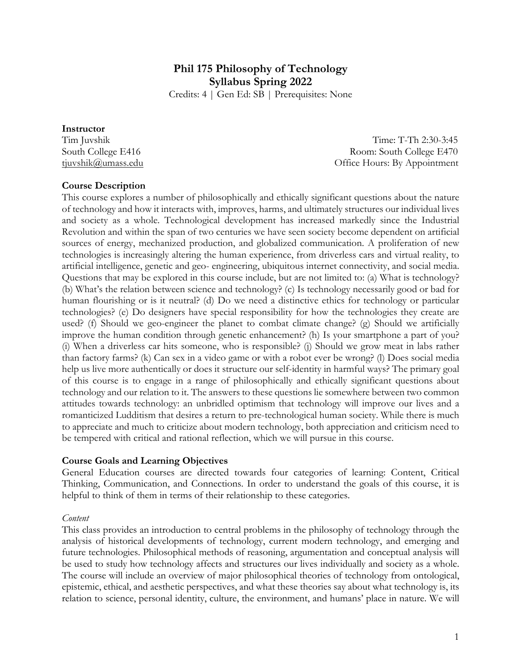# **Phil 175 Philosophy of Technology Syllabus Spring 2022**

Credits: 4 | Gen Ed: SB | Prerequisites: None

#### **Instructor**

Tim Juvshik Time: T-Th 2:30-3:45 South College E416 Room: South College E470 tjuvshik@umass.edu Office Hours: By Appointment

#### **Course Description**

This course explores a number of philosophically and ethically significant questions about the nature of technology and how it interacts with, improves, harms, and ultimately structures our individual lives and society as a whole. Technological development has increased markedly since the Industrial Revolution and within the span of two centuries we have seen society become dependent on artificial sources of energy, mechanized production, and globalized communication. A proliferation of new technologies is increasingly altering the human experience, from driverless cars and virtual reality, to artificial intelligence, genetic and geo- engineering, ubiquitous internet connectivity, and social media. Questions that may be explored in this course include, but are not limited to: (a) What is technology? (b) What's the relation between science and technology? (c) Is technology necessarily good or bad for human flourishing or is it neutral? (d) Do we need a distinctive ethics for technology or particular technologies? (e) Do designers have special responsibility for how the technologies they create are used? (f) Should we geo-engineer the planet to combat climate change? (g) Should we artificially improve the human condition through genetic enhancement? (h) Is your smartphone a part of you? (i) When a driverless car hits someone, who is responsible? (j) Should we grow meat in labs rather than factory farms? (k) Can sex in a video game or with a robot ever be wrong? (l) Does social media help us live more authentically or does it structure our self-identity in harmful ways? The primary goal of this course is to engage in a range of philosophically and ethically significant questions about technology and our relation to it. The answers to these questions lie somewhere between two common attitudes towards technology: an unbridled optimism that technology will improve our lives and a romanticized Ludditism that desires a return to pre-technological human society. While there is much to appreciate and much to criticize about modern technology, both appreciation and criticism need to be tempered with critical and rational reflection, which we will pursue in this course.

#### **Course Goals and Learning Objectives**

General Education courses are directed towards four categories of learning: Content, Critical Thinking, Communication, and Connections. In order to understand the goals of this course, it is helpful to think of them in terms of their relationship to these categories.

#### *Content*

This class provides an introduction to central problems in the philosophy of technology through the analysis of historical developments of technology, current modern technology, and emerging and future technologies. Philosophical methods of reasoning, argumentation and conceptual analysis will be used to study how technology affects and structures our lives individually and society as a whole. The course will include an overview of major philosophical theories of technology from ontological, epistemic, ethical, and aesthetic perspectives, and what these theories say about what technology is, its relation to science, personal identity, culture, the environment, and humans' place in nature. We will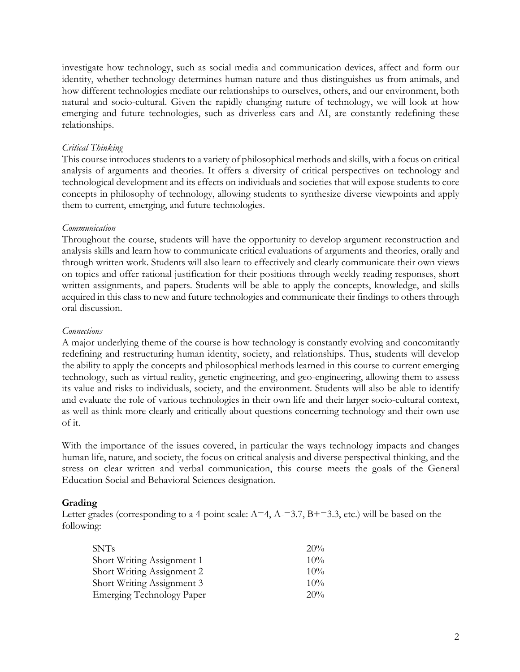investigate how technology, such as social media and communication devices, affect and form our identity, whether technology determines human nature and thus distinguishes us from animals, and how different technologies mediate our relationships to ourselves, others, and our environment, both natural and socio-cultural. Given the rapidly changing nature of technology, we will look at how emerging and future technologies, such as driverless cars and AI, are constantly redefining these relationships.

#### *Critical Thinking*

This course introduces students to a variety of philosophical methods and skills, with a focus on critical analysis of arguments and theories. It offers a diversity of critical perspectives on technology and technological development and its effects on individuals and societies that will expose students to core concepts in philosophy of technology, allowing students to synthesize diverse viewpoints and apply them to current, emerging, and future technologies.

#### *Communication*

Throughout the course, students will have the opportunity to develop argument reconstruction and analysis skills and learn how to communicate critical evaluations of arguments and theories, orally and through written work. Students will also learn to effectively and clearly communicate their own views on topics and offer rational justification for their positions through weekly reading responses, short written assignments, and papers. Students will be able to apply the concepts, knowledge, and skills acquired in this class to new and future technologies and communicate their findings to others through oral discussion.

#### *Connections*

A major underlying theme of the course is how technology is constantly evolving and concomitantly redefining and restructuring human identity, society, and relationships. Thus, students will develop the ability to apply the concepts and philosophical methods learned in this course to current emerging technology, such as virtual reality, genetic engineering, and geo-engineering, allowing them to assess its value and risks to individuals, society, and the environment. Students will also be able to identify and evaluate the role of various technologies in their own life and their larger socio-cultural context, as well as think more clearly and critically about questions concerning technology and their own use of it.

With the importance of the issues covered, in particular the ways technology impacts and changes human life, nature, and society, the focus on critical analysis and diverse perspectival thinking, and the stress on clear written and verbal communication, this course meets the goals of the General Education Social and Behavioral Sciences designation.

#### **Grading**

Letter grades (corresponding to a 4-point scale:  $A=4$ ,  $A=-3.7$ ,  $B=-3.3$ , etc.) will be based on the following:

| SNTs                              | 20%    |
|-----------------------------------|--------|
| Short Writing Assignment 1        | $10\%$ |
| <b>Short Writing Assignment 2</b> | $10\%$ |
| Short Writing Assignment 3        | $10\%$ |
| <b>Emerging Technology Paper</b>  | 20%    |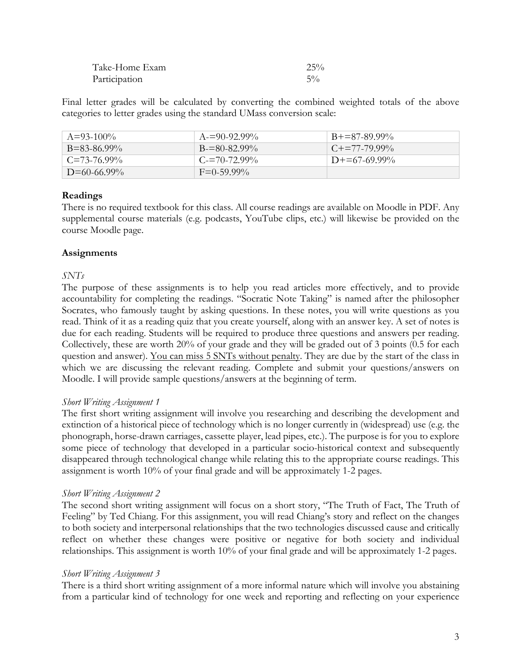| Take-Home Exam | 25%   |
|----------------|-------|
| Participation  | $5\%$ |

Final letter grades will be calculated by converting the combined weighted totals of the above categories to letter grades using the standard UMass conversion scale:

| $A = 93-100\%$     | $A = 90 - 92.99\%$ | $B+=87-89.99\%$          |
|--------------------|--------------------|--------------------------|
| $B = 83 - 86.99\%$ | $B = 80 - 82.99\%$ | $C_{\pm} = 77 - 79.99\%$ |
| $C = 73-76.99\%$   | $C = 70 - 72.99\%$ | $D+=67-69.99\%$          |
| $D=60-66.99\%$     | $F = 0.59.99\%$    |                          |

### **Readings**

There is no required textbook for this class. All course readings are available on Moodle in PDF. Any supplemental course materials (e.g. podcasts, YouTube clips, etc.) will likewise be provided on the course Moodle page.

### **Assignments**

### *SNTs*

The purpose of these assignments is to help you read articles more effectively, and to provide accountability for completing the readings. "Socratic Note Taking" is named after the philosopher Socrates, who famously taught by asking questions. In these notes, you will write questions as you read. Think of it as a reading quiz that you create yourself, along with an answer key. A set of notes is due for each reading. Students will be required to produce three questions and answers per reading. Collectively, these are worth 20% of your grade and they will be graded out of 3 points (0.5 for each question and answer). You can miss 5 SNTs without penalty. They are due by the start of the class in which we are discussing the relevant reading. Complete and submit your questions/answers on Moodle. I will provide sample questions/answers at the beginning of term.

### *Short Writing Assignment 1*

The first short writing assignment will involve you researching and describing the development and extinction of a historical piece of technology which is no longer currently in (widespread) use (e.g. the phonograph, horse-drawn carriages, cassette player, lead pipes, etc.). The purpose is for you to explore some piece of technology that developed in a particular socio-historical context and subsequently disappeared through technological change while relating this to the appropriate course readings. This assignment is worth 10% of your final grade and will be approximately 1-2 pages.

### *Short Writing Assignment 2*

The second short writing assignment will focus on a short story, "The Truth of Fact, The Truth of Feeling" by Ted Chiang. For this assignment, you will read Chiang's story and reflect on the changes to both society and interpersonal relationships that the two technologies discussed cause and critically reflect on whether these changes were positive or negative for both society and individual relationships. This assignment is worth 10% of your final grade and will be approximately 1-2 pages.

### *Short Writing Assignment 3*

There is a third short writing assignment of a more informal nature which will involve you abstaining from a particular kind of technology for one week and reporting and reflecting on your experience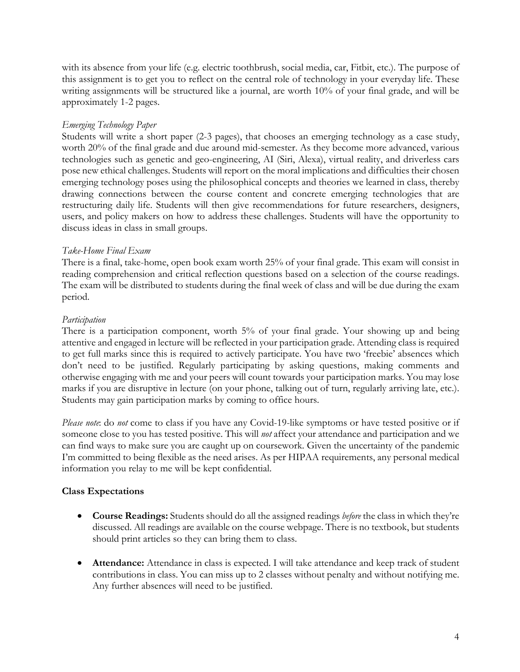with its absence from your life (e.g. electric toothbrush, social media, car, Fitbit, etc.). The purpose of this assignment is to get you to reflect on the central role of technology in your everyday life. These writing assignments will be structured like a journal, are worth 10% of your final grade, and will be approximately 1-2 pages.

### *Emerging Technology Paper*

Students will write a short paper (2-3 pages), that chooses an emerging technology as a case study, worth 20% of the final grade and due around mid-semester. As they become more advanced, various technologies such as genetic and geo-engineering, AI (Siri, Alexa), virtual reality, and driverless cars pose new ethical challenges. Students will report on the moral implications and difficulties their chosen emerging technology poses using the philosophical concepts and theories we learned in class, thereby drawing connections between the course content and concrete emerging technologies that are restructuring daily life. Students will then give recommendations for future researchers, designers, users, and policy makers on how to address these challenges. Students will have the opportunity to discuss ideas in class in small groups.

### *Take-Home Final Exam*

There is a final, take-home, open book exam worth 25% of your final grade. This exam will consist in reading comprehension and critical reflection questions based on a selection of the course readings. The exam will be distributed to students during the final week of class and will be due during the exam period.

### *Participation*

There is a participation component, worth 5% of your final grade. Your showing up and being attentive and engaged in lecture will be reflected in your participation grade. Attending class is required to get full marks since this is required to actively participate. You have two 'freebie' absences which don't need to be justified. Regularly participating by asking questions, making comments and otherwise engaging with me and your peers will count towards your participation marks. You may lose marks if you are disruptive in lecture (on your phone, talking out of turn, regularly arriving late, etc.). Students may gain participation marks by coming to office hours.

*Please note*: do *not* come to class if you have any Covid-19-like symptoms or have tested positive or if someone close to you has tested positive. This will *not* affect your attendance and participation and we can find ways to make sure you are caught up on coursework. Given the uncertainty of the pandemic I'm committed to being flexible as the need arises. As per HIPAA requirements, any personal medical information you relay to me will be kept confidential.

### **Class Expectations**

- **Course Readings:** Students should do all the assigned readings *before* the class in which they're discussed. All readings are available on the course webpage. There is no textbook, but students should print articles so they can bring them to class.
- **Attendance:** Attendance in class is expected. I will take attendance and keep track of student contributions in class. You can miss up to 2 classes without penalty and without notifying me. Any further absences will need to be justified.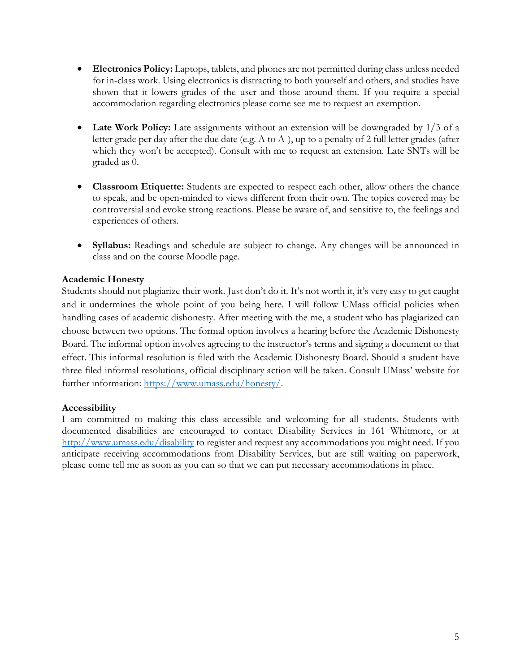- **Electronics Policy:** Laptops, tablets, and phones are not permitted during class unless needed for in-class work. Using electronics is distracting to both yourself and others, and studies have shown that it lowers grades of the user and those around them. If you require a special accommodation regarding electronics please come see me to request an exemption.
- Late Work Policy: Late assignments without an extension will be downgraded by 1/3 of a letter grade per day after the due date (e.g. A to A-), up to a penalty of 2 full letter grades (after which they won't be accepted). Consult with me to request an extension. Late SNTs will be graded as 0.
- **Classroom Etiquette:** Students are expected to respect each other, allow others the chance to speak, and be open-minded to views different from their own. The topics covered may be controversial and evoke strong reactions. Please be aware of, and sensitive to, the feelings and experiences of others.
- **Syllabus:** Readings and schedule are subject to change. Any changes will be announced in class and on the course Moodle page.

### **Academic Honesty**

Students should not plagiarize their work. Just don't do it. It's not worth it, it's very easy to get caught and it undermines the whole point of you being here. I will follow UMass official policies when handling cases of academic dishonesty. After meeting with the me, a student who has plagiarized can choose between two options. The formal option involves a hearing before the Academic Dishonesty Board. The informal option involves agreeing to the instructor's terms and signing a document to that effect. This informal resolution is filed with the Academic Dishonesty Board. Should a student have three filed informal resolutions, official disciplinary action will be taken. Consult UMass' website for further information: https://www.umass.edu/honesty/.

### **Accessibility**

I am committed to making this class accessible and welcoming for all students. Students with documented disabilities are encouraged to contact Disability Services in 161 Whitmore, or at http://www.umass.edu/disability to register and request any accommodations you might need. If you anticipate receiving accommodations from Disability Services, but are still waiting on paperwork, please come tell me as soon as you can so that we can put necessary accommodations in place.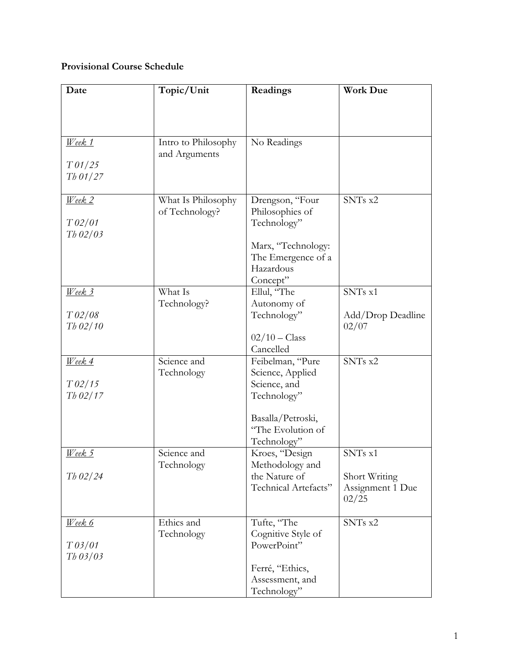## **Provisional Course Schedule**

| Date                     | Topic/Unit          | Readings                          | <b>Work Due</b>            |
|--------------------------|---------------------|-----------------------------------|----------------------------|
|                          |                     |                                   |                            |
|                          |                     |                                   |                            |
|                          |                     |                                   |                            |
| $\mathcal{W}$ eek 1      | Intro to Philosophy | No Readings                       |                            |
|                          | and Arguments       |                                   |                            |
| T <sub>01/25</sub>       |                     |                                   |                            |
| $Th$ 01/27               |                     |                                   |                            |
|                          |                     |                                   |                            |
| Week <sub>2</sub>        | What Is Philosophy  | Drengson, "Four                   | SNTs x2                    |
|                          | of Technology?      | Philosophies of                   |                            |
| T 02/01                  |                     | Technology"                       |                            |
| $Th$ 02/03               |                     |                                   |                            |
|                          |                     | Marx, "Technology:                |                            |
|                          |                     | The Emergence of a                |                            |
|                          |                     | Hazardous                         |                            |
|                          |                     | Concept"                          |                            |
| Week 3                   | What Is             | Ellul, "The                       | SNTs x1                    |
|                          | Technology?         | Autonomy of                       |                            |
| T 02/08<br>$Th$ 02/10    |                     | Technology"                       | Add/Drop Deadline<br>02/07 |
|                          |                     | $02/10 - Class$                   |                            |
|                          |                     | Cancelled                         |                            |
| $\textit{Week}$ 4        | Science and         | Feibelman, "Pure                  | SNTs x2                    |
|                          | Technology          | Science, Applied                  |                            |
| $T$ 02/15                |                     | Science, and                      |                            |
| $Th\frac{02}{17}$        |                     | Technology"                       |                            |
|                          |                     |                                   |                            |
|                          |                     | Basalla/Petroski,                 |                            |
|                          |                     | "The Evolution of                 |                            |
|                          |                     | Technology"                       |                            |
| Week 5                   | Science and         | Kroes, "Design                    | SNTs x1                    |
|                          | Technology          | Methodology and                   |                            |
| $Th$ 02/24               |                     | the Nature of                     | Short Writing              |
|                          |                     | Technical Artefacts"              | Assignment 1 Due           |
|                          |                     |                                   | 02/25                      |
|                          |                     |                                   |                            |
| <u>Week 6</u>            | Ethics and          | Tufte, "The<br>Cognitive Style of | SNTs x2                    |
| $T\frac{\theta}{\theta}$ | Technology          | PowerPoint"                       |                            |
| $Th$ 03/03               |                     |                                   |                            |
|                          |                     | Ferré, "Ethics,                   |                            |
|                          |                     | Assessment, and                   |                            |
|                          |                     | Technology"                       |                            |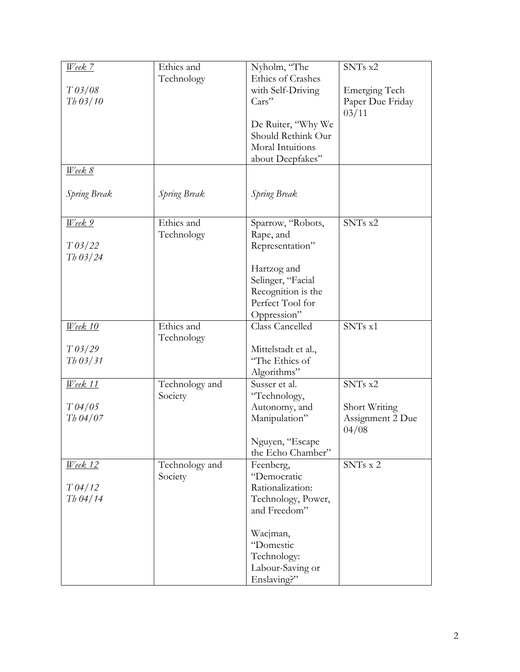| Week 7                           | Ethics and     | Nyholm, "The           | SNTs x2          |
|----------------------------------|----------------|------------------------|------------------|
|                                  | Technology     | Ethics of Crashes      |                  |
| $T\frac{\partial 3}{\partial 8}$ |                | with Self-Driving      | Emerging Tech    |
|                                  |                |                        |                  |
| $Th$ 03/10                       |                | Cars"                  | Paper Due Friday |
|                                  |                |                        | 03/11            |
|                                  |                | De Ruiter, "Why We     |                  |
|                                  |                | Should Rethink Our     |                  |
|                                  |                |                        |                  |
|                                  |                | Moral Intuitions       |                  |
|                                  |                | about Deepfakes"       |                  |
| <u>Week 8</u>                    |                |                        |                  |
|                                  |                |                        |                  |
|                                  | Spring Break   |                        |                  |
| <b>Spring Break</b>              |                | Spring Break           |                  |
|                                  |                |                        |                  |
|                                  | Ethics and     |                        | SNTs x2          |
| Week 9                           |                | Sparrow, "Robots,      |                  |
|                                  | Technology     | Rape, and              |                  |
| T 03/22                          |                | Representation"        |                  |
| $Th\frac{03}{24}$                |                |                        |                  |
|                                  |                |                        |                  |
|                                  |                | Hartzog and            |                  |
|                                  |                | Selinger, "Facial      |                  |
|                                  |                | Recognition is the     |                  |
|                                  |                | Perfect Tool for       |                  |
|                                  |                | Oppression"            |                  |
|                                  |                |                        |                  |
| <u>Week 10</u>                   | Ethics and     | <b>Class Cancelled</b> | SNTs x1          |
|                                  | Technology     |                        |                  |
| $T\frac{03}{29}$                 |                | Mittelstadt et al.,    |                  |
| $Th$ 03/31                       |                | "The Ethics of         |                  |
|                                  |                |                        |                  |
|                                  |                | Algorithms"            |                  |
| <u>Week</u> 11                   | Technology and | Susser et al.          | SNTs x2          |
|                                  | Society        | "Technology,           |                  |
| T 04/05                          |                | Autonomy, and          | Short Writing    |
| $Th\,04/07$                      |                | Manipulation"          | Assignment 2 Due |
|                                  |                |                        |                  |
|                                  |                |                        | 04/08            |
|                                  |                | Nguyen, "Escape        |                  |
|                                  |                | the Echo Chamber"      |                  |
| <u>Week</u> 12                   | Technology and | Feenberg,              | SNTs x 2         |
|                                  |                |                        |                  |
|                                  | Society        | "Democratic            |                  |
| T 04/12                          |                | Rationalization:       |                  |
| $Th\,04/14$                      |                | Technology, Power,     |                  |
|                                  |                | and Freedom"           |                  |
|                                  |                |                        |                  |
|                                  |                |                        |                  |
|                                  |                | Wacjman,               |                  |
|                                  |                | "Domestic              |                  |
|                                  |                | Technology:            |                  |
|                                  |                | Labour-Saving or       |                  |
|                                  |                |                        |                  |
|                                  |                | Enslaving?"            |                  |